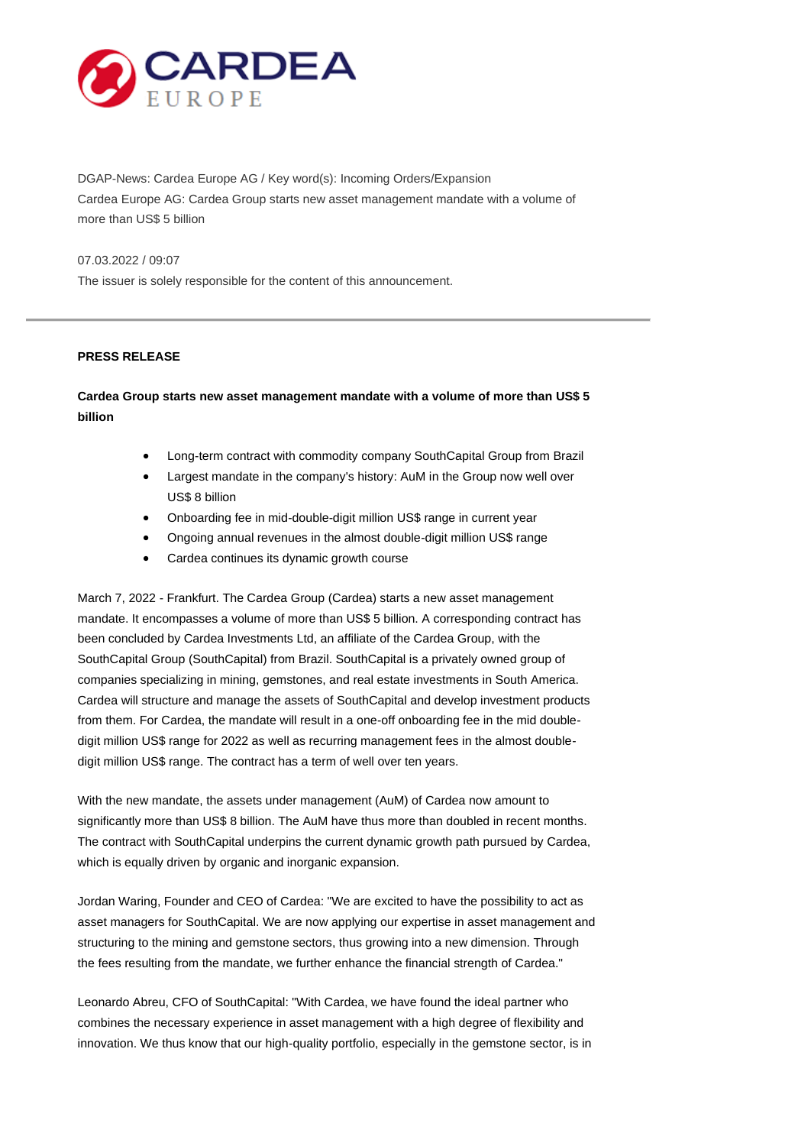

DGAP-News: Cardea Europe AG / Key word(s): Incoming Orders/Expansion Cardea Europe AG: Cardea Group starts new asset management mandate with a volume of more than US\$ 5 billion

07.03.2022 / 09:07

The issuer is solely responsible for the content of this announcement.

#### **PRESS RELEASE**

# **Cardea Group starts new asset management mandate with a volume of more than US\$ 5 billion**

- Long-term contract with commodity company SouthCapital Group from Brazil
- Largest mandate in the company's history: AuM in the Group now well over US\$ 8 billion
- Onboarding fee in mid-double-digit million US\$ range in current year
- Ongoing annual revenues in the almost double-digit million US\$ range
- Cardea continues its dynamic growth course

March 7, 2022 - Frankfurt. The Cardea Group (Cardea) starts a new asset management mandate. It encompasses a volume of more than US\$ 5 billion. A corresponding contract has been concluded by Cardea Investments Ltd, an affiliate of the Cardea Group, with the SouthCapital Group (SouthCapital) from Brazil. SouthCapital is a privately owned group of companies specializing in mining, gemstones, and real estate investments in South America. Cardea will structure and manage the assets of SouthCapital and develop investment products from them. For Cardea, the mandate will result in a one-off onboarding fee in the mid doubledigit million US\$ range for 2022 as well as recurring management fees in the almost doubledigit million US\$ range. The contract has a term of well over ten years.

With the new mandate, the assets under management (AuM) of Cardea now amount to significantly more than US\$ 8 billion. The AuM have thus more than doubled in recent months. The contract with SouthCapital underpins the current dynamic growth path pursued by Cardea, which is equally driven by organic and inorganic expansion.

Jordan Waring, Founder and CEO of Cardea: "We are excited to have the possibility to act as asset managers for SouthCapital. We are now applying our expertise in asset management and structuring to the mining and gemstone sectors, thus growing into a new dimension. Through the fees resulting from the mandate, we further enhance the financial strength of Cardea."

Leonardo Abreu, CFO of SouthCapital: "With Cardea, we have found the ideal partner who combines the necessary experience in asset management with a high degree of flexibility and innovation. We thus know that our high-quality portfolio, especially in the gemstone sector, is in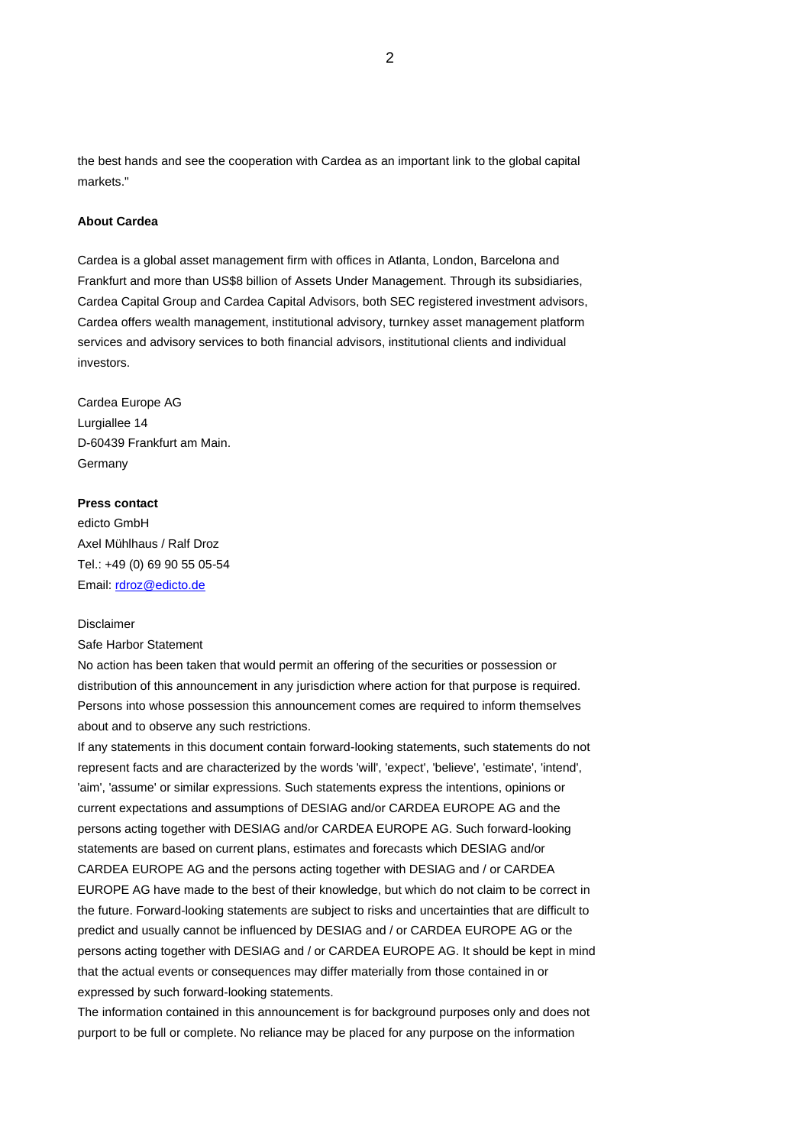the best hands and see the cooperation with Cardea as an important link to the global capital markete."

### **About Cardea**

Cardea is a global asset management firm with offices in Atlanta, London, Barcelona and Frankfurt and more than US\$8 billion of Assets Under Management. Through its subsidiaries, Cardea Capital Group and Cardea Capital Advisors, both SEC registered investment advisors, Cardea offers wealth management, institutional advisory, turnkey asset management platform services and advisory services to both financial advisors, institutional clients and individual investors.

Cardea Europe AG Lurgiallee 14 D-60439 Frankfurt am Main. **Germany** 

# **Press contact**

edicto GmbH Axel Mühlhaus / Ralf Droz Tel.: +49 (0) 69 90 55 05-54 Email[: rdroz@edicto.de](mailto:rdroz@edicto.de)

#### Disclaimer

Safe Harbor Statement

No action has been taken that would permit an offering of the securities or possession or distribution of this announcement in any jurisdiction where action for that purpose is required. Persons into whose possession this announcement comes are required to inform themselves about and to observe any such restrictions.

If any statements in this document contain forward-looking statements, such statements do not represent facts and are characterized by the words 'will', 'expect', 'believe', 'estimate', 'intend', 'aim', 'assume' or similar expressions. Such statements express the intentions, opinions or current expectations and assumptions of DESIAG and/or CARDEA EUROPE AG and the persons acting together with DESIAG and/or CARDEA EUROPE AG. Such forward-looking statements are based on current plans, estimates and forecasts which DESIAG and/or CARDEA EUROPE AG and the persons acting together with DESIAG and / or CARDEA EUROPE AG have made to the best of their knowledge, but which do not claim to be correct in the future. Forward-looking statements are subject to risks and uncertainties that are difficult to predict and usually cannot be influenced by DESIAG and / or CARDEA EUROPE AG or the persons acting together with DESIAG and / or CARDEA EUROPE AG. It should be kept in mind that the actual events or consequences may differ materially from those contained in or expressed by such forward-looking statements.

The information contained in this announcement is for background purposes only and does not purport to be full or complete. No reliance may be placed for any purpose on the information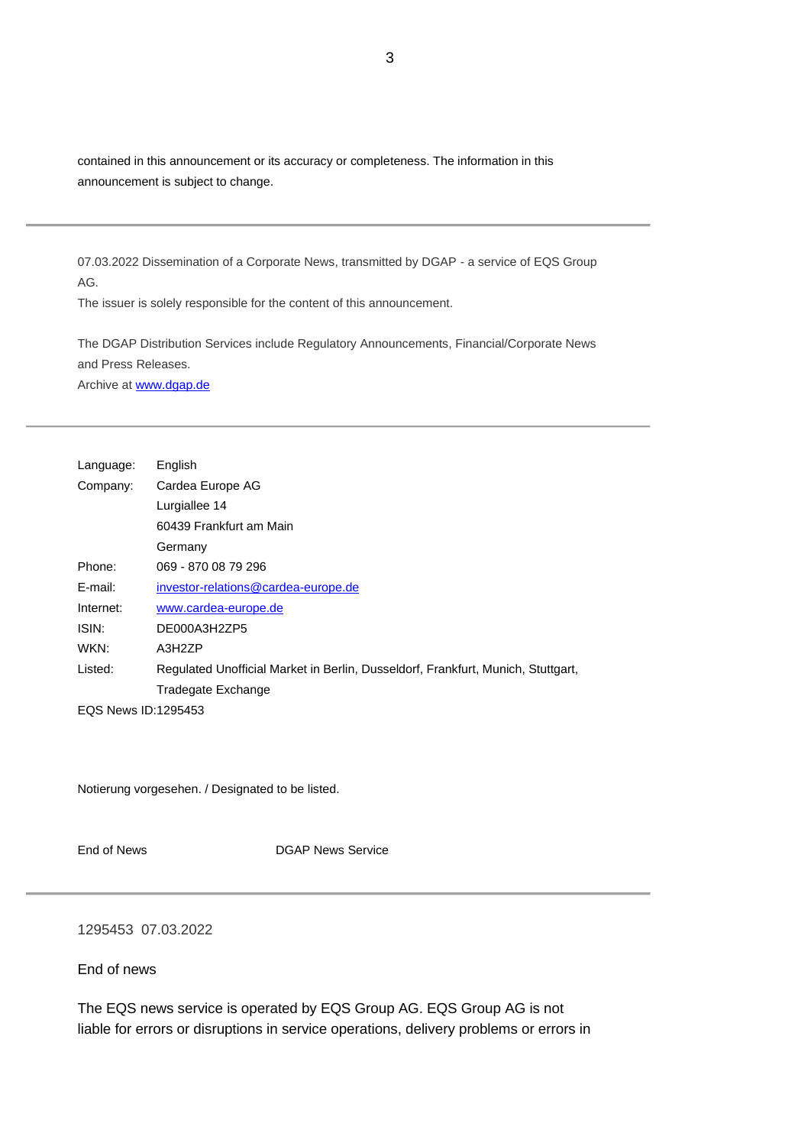contained in this announcement or its accuracy or completeness. The information in this announcement is subject to change.

07.03.2022 Dissemination of a Corporate News, transmitted by DGAP - a service of EQS Group AG.

The issuer is solely responsible for the content of this announcement.

The DGAP Distribution Services include Regulatory Announcements, Financial/Corporate News and Press Releases. Archive a[t www.dgap.de](http://www.dgap.de/)

| Language:                  | English                                                                          |
|----------------------------|----------------------------------------------------------------------------------|
| Company:                   | Cardea Europe AG                                                                 |
|                            | Lurgiallee 14                                                                    |
|                            | 60439 Frankfurt am Main                                                          |
|                            | Germany                                                                          |
| Phone:                     | 069 - 870 08 79 296                                                              |
| E-mail:                    | investor-relations@cardea-europe.de                                              |
| Internet:                  | www.cardea-europe.de                                                             |
| ISIN:                      | DE000A3H2ZP5                                                                     |
| WKN:                       | A3H2ZP                                                                           |
| Listed:                    | Regulated Unofficial Market in Berlin, Dusseldorf, Frankfurt, Munich, Stuttgart, |
|                            | Tradegate Exchange                                                               |
| <b>EOS News ID:1295453</b> |                                                                                  |

Notierung vorgesehen. / Designated to be listed.

End of News **DGAP** News Service

## 1295453 07.03.2022

End of news

The EQS news service is operated by EQS Group AG. EQS Group AG is not liable for errors or disruptions in service operations, delivery problems or errors in